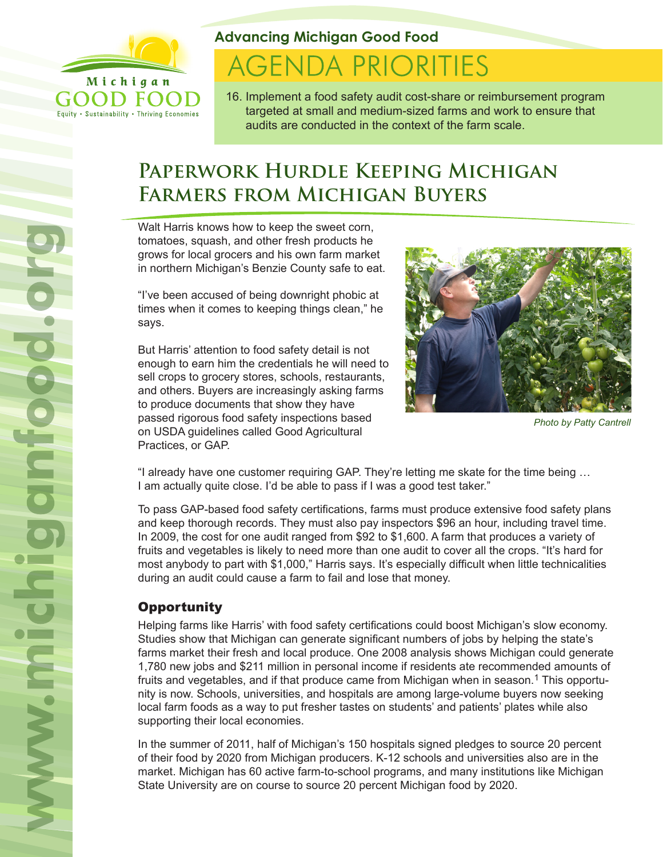

Equity . Sustainability . Thriving Economies

**Advancing Michigan Good Food**

# **AGENDA PRIORITIES**

16. Implement a food safety audit cost-share or reimbursement program targeted at small and medium-sized farms and work to ensure that audits are conducted in the context of the farm scale.

## **Paperwork Hurdle Keeping Michigan Farmers from Michigan Buyers**

Walt Harris knows how to keep the sweet corn, tomatoes, squash, and other fresh products he grows for local grocers and his own farm market in northern Michigan's Benzie County safe to eat.

"I've been accused of being downright phobic at times when it comes to keeping things clean," he says.

But Harris' attention to food safety detail is not enough to earn him the credentials he will need to sell crops to grocery stores, schools, restaurants, and others. Buyers are increasingly asking farms to produce documents that show they have passed rigorous food safety inspections based on USDA guidelines called Good Agricultural Practices, or GAP.



*Photo by Patty Cantrell*

"I already have one customer requiring GAP. They're letting me skate for the time being … I am actually quite close. I'd be able to pass if I was a good test taker."

To pass GAP-based food safety certifications, farms must produce extensive food safety plans and keep thorough records. They must also pay inspectors \$96 an hour, including travel time. In 2009, the cost for one audit ranged from \$92 to \$1,600. A farm that produces a variety of fruits and vegetables is likely to need more than one audit to cover all the crops. "It's hard for most anybody to part with \$1,000," Harris says. It's especially difficult when little technicalities during an audit could cause a farm to fail and lose that money.

### **Opportunity**

Helping farms like Harris' with food safety certifications could boost Michigan's slow economy. Studies show that Michigan can generate significant numbers of jobs by helping the state's farms market their fresh and local produce. One 2008 analysis shows Michigan could generate 1,780 new jobs and \$211 million in personal income if residents ate recommended amounts of fruits and vegetables, and if that produce came from Michigan when in season.<sup>1</sup> This opportunity is now. Schools, universities, and hospitals are among large-volume buyers now seeking local farm foods as a way to put fresher tastes on students' and patients' plates while also supporting their local economies.

In the summer of 2011, half of Michigan's 150 hospitals signed pledges to source 20 percent of their food by 2020 from Michigan producers. K-12 schools and universities also are in the market. Michigan has 60 active farm-to-school programs, and many institutions like Michigan State University are on course to source 20 percent Michigan food by 2020.